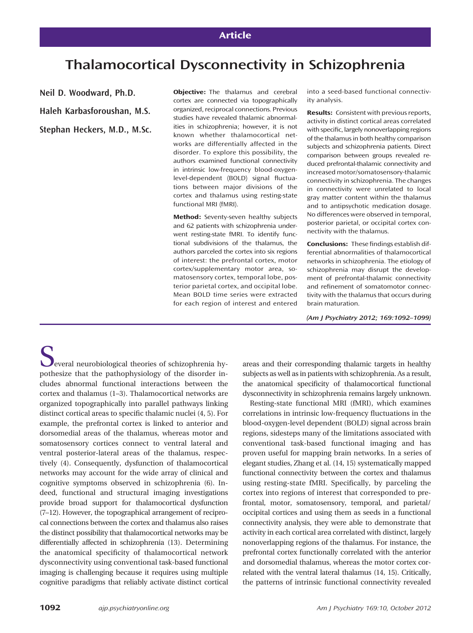# Thalamocortical Dysconnectivity in Schizophrenia

Neil D. Woodward, Ph.D. Haleh Karbasforoushan, M.S. Stephan Heckers, M.D., M.Sc.

Objective: The thalamus and cerebral cortex are connected via topographically organized, reciprocal connections. Previous studies have revealed thalamic abnormalities in schizophrenia; however, it is not known whether thalamocortical networks are differentially affected in the disorder. To explore this possibility, the authors examined functional connectivity in intrinsic low-frequency blood-oxygenlevel-dependent (BOLD) signal fluctuations between major divisions of the cortex and thalamus using resting-state functional MRI (fMRI).

**Method:** Seventy-seven healthy subjects and 62 patients with schizophrenia underwent resting-state fMRI. To identify functional subdivisions of the thalamus, the authors parceled the cortex into six regions of interest: the prefrontal cortex, motor cortex/supplementary motor area, somatosensory cortex, temporal lobe, posterior parietal cortex, and occipital lobe. Mean BOLD time series were extracted for each region of interest and entered into a seed-based functional connectivity analysis.

Results: Consistent with previous reports, activity in distinct cortical areas correlated with specific, largely nonoverlapping regions of the thalamus in both healthy comparison subjects and schizophrenia patients. Direct comparison between groups revealed reduced prefrontal-thalamic connectivity and increased motor/somatosensory-thalamic connectivity in schizophrenia. The changes in connectivity were unrelated to local gray matter content within the thalamus and to antipsychotic medication dosage. No differences were observed in temporal, posterior parietal, or occipital cortex connectivity with the thalamus.

Conclusions: These findings establish differential abnormalities of thalamocortical networks in schizophrenia. The etiology of schizophrenia may disrupt the development of prefrontal-thalamic connectivity and refinement of somatomotor connectivity with the thalamus that occurs during brain maturation.

(Am J Psychiatry 2012; 169:1092–1099)

**J**everal neurobiological theories of schizophrenia hypothesize that the pathophysiology of the disorder includes abnormal functional interactions between the cortex and thalamus (1–3). Thalamocortical networks are organized topographically into parallel pathways linking distinct cortical areas to specific thalamic nuclei (4, 5). For example, the prefrontal cortex is linked to anterior and dorsomedial areas of the thalamus, whereas motor and somatosensory cortices connect to ventral lateral and ventral posterior-lateral areas of the thalamus, respectively (4). Consequently, dysfunction of thalamocortical networks may account for the wide array of clinical and cognitive symptoms observed in schizophrenia (6). Indeed, functional and structural imaging investigations provide broad support for thalamocortical dysfunction (7–12). However, the topographical arrangement of reciprocal connections between the cortex and thalamus also raises the distinct possibility that thalamocortical networks may be differentially affected in schizophrenia (13). Determining the anatomical specificity of thalamocortical network dysconnectivity using conventional task-based functional imaging is challenging because it requires using multiple cognitive paradigms that reliably activate distinct cortical

areas and their corresponding thalamic targets in healthy subjects as well as in patients with schizophrenia. As a result, the anatomical specificity of thalamocortical functional dysconnectivity in schizophrenia remains largely unknown.

Resting-state functional MRI (fMRI), which examines correlations in intrinsic low-frequency fluctuations in the blood-oxygen-level dependent (BOLD) signal across brain regions, sidesteps many of the limitations associated with conventional task-based functional imaging and has proven useful for mapping brain networks. In a series of elegant studies, Zhang et al. (14, 15) systematically mapped functional connectivity between the cortex and thalamus using resting-state fMRI. Specifically, by parceling the cortex into regions of interest that corresponded to prefrontal, motor, somatosensory, temporal, and parietal/ occipital cortices and using them as seeds in a functional connectivity analysis, they were able to demonstrate that activity in each cortical area correlated with distinct, largely nonoverlapping regions of the thalamus. For instance, the prefrontal cortex functionally correlated with the anterior and dorsomedial thalamus, whereas the motor cortex correlated with the ventral lateral thalamus (14, 15). Critically, the patterns of intrinsic functional connectivity revealed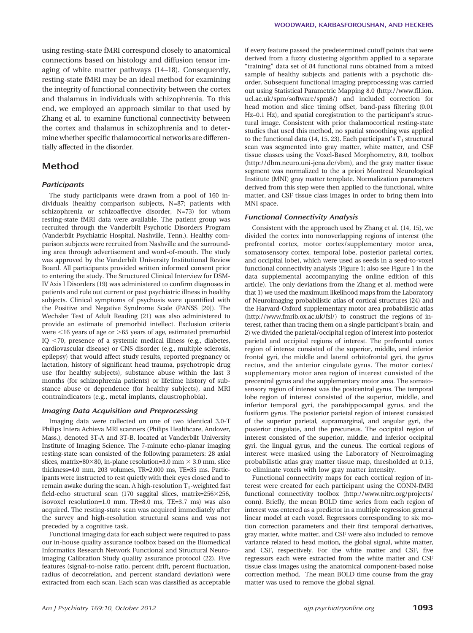using resting-state fMRI correspond closely to anatomical connections based on histology and diffusion tensor imaging of white matter pathways (14–18). Consequently, resting-state fMRI may be an ideal method for examining the integrity of functional connectivity between the cortex and thalamus in individuals with schizophrenia. To this end, we employed an approach similar to that used by Zhang et al. to examine functional connectivity between the cortex and thalamus in schizophrenia and to determine whether specific thalamocortical networks are differentially affected in the disorder.

# Method

## **Participants**

The study participants were drawn from a pool of 160 individuals (healthy comparison subjects, N=87; patients with schizophrenia or schizoaffective disorder, N=73) for whom resting-state fMRI data were available. The patient group was recruited through the Vanderbilt Psychotic Disorders Program (Vanderbilt Psychiatric Hospital, Nashville, Tenn.). Healthy comparison subjects were recruited from Nashville and the surrounding area through advertisement and word-of-mouth. The study was approved by the Vanderbilt University Institutional Review Board. All participants provided written informed consent prior to entering the study. The Structured Clinical Interview for DSM-IV Axis I Disorders (19) was administered to confirm diagnoses in patients and rule out current or past psychiatric illness in healthy subjects. Clinical symptoms of psychosis were quantified with the Positive and Negative Syndrome Scale (PANSS [20]). The Wechsler Test of Adult Reading (21) was also administered to provide an estimate of premorbid intellect. Exclusion criteria were  $<$ 16 years of age or  $>$ 65 years of age, estimated premorbid  $IQ < 70$ , presence of a systemic medical illness (e.g., diabetes, cardiovascular disease) or CNS disorder (e.g., multiple sclerosis, epilepsy) that would affect study results, reported pregnancy or lactation, history of significant head trauma, psychotropic drug use (for healthy subjects), substance abuse within the last 3 months (for schizophrenia patients) or lifetime history of substance abuse or dependence (for healthy subjects), and MRI contraindicators (e.g., metal implants, claustrophobia).

## Imaging Data Acquisition and Preprocessing

Imaging data were collected on one of two identical 3.0-T Philips Intera Achieva MRI scanners (Philips Healthcare, Andover, Mass.), denoted 3T-A and 3T-B, located at Vanderbilt University Institute of Imaging Science. The 7-minute echo-planar imaging resting-state scan consisted of the following parameters: 28 axial slices, matrix=80×80, in-plane resolution=3.0 mm  $\times$  3.0 mm, slice thickness=4.0 mm, 203 volumes, TR=2,000 ms, TE=35 ms. Participants were instructed to rest quietly with their eyes closed and to remain awake during the scan. A high-resolution  $T_1$ -weighted fast field-echo structural scan (170 saggital slices, matrix= $256\times256$ , isovoxel resolution=1.0 mm, TR=8.0 ms, TE=3.7 ms) was also acquired. The resting-state scan was acquired immediately after the survey and high-resolution structural scans and was not preceded by a cognitive task.

Functional imaging data for each subject were required to pass our in-house quality assurance toolbox based on the Biomedical Informatics Research Network Functional and Structural Neuroimaging Calibration Study quality assurance protocol (22). Five features (signal-to-noise ratio, percent drift, percent fluctuation, radius of decorrelation, and percent standard deviation) were extracted from each scan. Each scan was classified as acceptable if every feature passed the predetermined cutoff points that were derived from a fuzzy clustering algorithm applied to a separate "training" data set of 84 functional runs obtained from a mixed sample of healthy subjects and patients with a psychotic disorder. Subsequent functional imaging preprocessing was carried out using Statistical Parametric Mapping 8.0 ([http://www.](http://www.fil.ion.ucl.ac.uk/spm/software/spm8/)fil.ion. [ucl.ac.uk/spm/software/spm8/\)](http://www.fil.ion.ucl.ac.uk/spm/software/spm8/) and included correction for head motion and slice timing offset, band-pass filtering (0.01 Hz–0.1 Hz), and spatial coregistration to the participant's structural image. Consistent with prior thalamocortical resting-state studies that used this method, no spatial smoothing was applied to the functional data (14, 15, 23). Each participant's  $T_1$  structural scan was segmented into gray matter, white matter, and CSF tissue classes using the Voxel-Based Morphometry, 8.0, toolbox ([http://dbm.neuro.uni-jena.de/vbm\)](http://dbm.neuro.uni-jena.de/vbm), and the gray matter tissue segment was normalized to the a priori Montreal Neurological Institute (MNI) gray matter template. Normalization parameters derived from this step were then applied to the functional, white matter, and CSF tissue class images in order to bring them into MNI space.

#### Functional Connectivity Analysis

Consistent with the approach used by Zhang et al. (14, 15), we divided the cortex into nonoverlapping regions of interest (the prefrontal cortex, motor cortex/supplementary motor area, somatosensory cortex, temporal lobe, posterior parietal cortex, and occipital lobe), which were used as seeds in a seed-to-voxel functional connectivity analysis (Figure 1; also see Figure 1 in the data supplemental accompanying the online edition of this article). The only deviations from the Zhang et al. method were that 1) we used the maximum likelihood maps from the Laboratory of Neuroimaging probabilistic atlas of cortical structures (24) and the Harvard-Oxford supplementary motor area probabilistic atlas (<http://www.fmrib.ox.ac.uk/fsl/>) to construct the regions of interest, rather than tracing them on a single participant's brain, and 2) we divided the parietal/occipital region of interest into posterior parietal and occipital regions of interest. The prefrontal cortex region of interest consisted of the superior, middle, and inferior frontal gyri, the middle and lateral orbitofrontal gyri, the gyrus rectus, and the anterior cingulate gyrus. The motor cortex/ supplementary motor area region of interest consisted of the precentral gyrus and the supplementary motor area. The somatosensory region of interest was the postcentral gyrus. The temporal lobe region of interest consisted of the superior, middle, and inferior temporal gyri, the parahippocampal gyrus, and the fusiform gyrus. The posterior parietal region of interest consisted of the superior parietal, supramarginal, and angular gyri, the posterior cingulate, and the precuneus. The occipital region of interest consisted of the superior, middle, and inferior occipital gyri, the lingual gyrus, and the cuneus. The cortical regions of interest were masked using the Laboratory of Neuroimaging probabilistic atlas gray matter tissue map, thresholded at 0.15, to eliminate voxels with low gray matter intensity.

Functional connectivity maps for each cortical region of interest were created for each participant using the CONN-fMRI functional connectivity toolbox [\(http://www.nitrc.org/projects/](http://www.nitrc.org/projects/conn) [conn\)](http://www.nitrc.org/projects/conn). Briefly, the mean BOLD time series from each region of interest was entered as a predictor in a multiple regression general linear model at each voxel. Regressors corresponding to six motion correction parameters and their first temporal derivatives, gray matter, white matter, and CSF were also included to remove variance related to head motion, the global signal, white matter, and CSF, respectively. For the white matter and CSF, five regressors each were extracted from the white matter and CSF tissue class images using the anatomical component-based noise correction method. The mean BOLD time course from the gray matter was used to remove the global signal.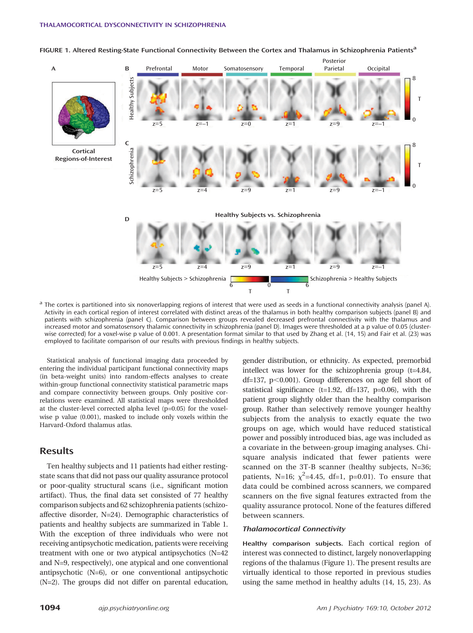

FIGURE 1. Altered Resting-State Functional Connectivity Between the Cortex and Thalamus in Schizophrenia Patients<sup>a</sup>

<sup>a</sup> The cortex is partitioned into six nonoverlapping regions of interest that were used as seeds in a functional connectivity analysis (panel A). Activity in each cortical region of interest correlated with distinct areas of the thalamus in both healthy comparison subjects (panel B) and patients with schizophrenia (panel C). Comparison between groups revealed decreased prefrontal connectivity with the thalamus and increased motor and somatosensory thalamic connectivity in schizophrenia (panel D). Images were thresholded at a p value of 0.05 (clusterwise corrected) for a voxel-wise p value of 0.001. A presentation format similar to that used by Zhang et al. (14, 15) and Fair et al. (23) was employed to facilitate comparison of our results with previous findings in healthy subjects.

Statistical analysis of functional imaging data proceeded by entering the individual participant functional connectivity maps (in beta-weight units) into random-effects analyses to create within-group functional connectivity statistical parametric maps and compare connectivity between groups. Only positive correlations were examined. All statistical maps were thresholded at the cluster-level corrected alpha level (p=0.05) for the voxelwise p value (0.001), masked to include only voxels within the Harvard-Oxford thalamus atlas.

## **Results**

Ten healthy subjects and 11 patients had either restingstate scans that did not pass our quality assurance protocol or poor-quality structural scans (i.e., significant motion artifact). Thus, the final data set consisted of 77 healthy comparison subjects and 62 schizophrenia patients (schizoaffective disorder, N=24). Demographic characteristics of patients and healthy subjects are summarized in Table 1. With the exception of three individuals who were not receiving antipsychotic medication, patients were receiving treatment with one or two atypical antipsychotics (N=42 and N=9, respectively), one atypical and one conventional antipsychotic (N=6), or one conventional antipsychotic (N=2). The groups did not differ on parental education,

gender distribution, or ethnicity. As expected, premorbid intellect was lower for the schizophrenia group (t=4.84, df=137,  $p<0.001$ ). Group differences on age fell short of statistical significance (t=1.92, df=137, p=0.06), with the patient group slightly older than the healthy comparison group. Rather than selectively remove younger healthy subjects from the analysis to exactly equate the two groups on age, which would have reduced statistical power and possibly introduced bias, age was included as a covariate in the between-group imaging analyses. Chisquare analysis indicated that fewer patients were scanned on the 3T-B scanner (healthy subjects, N=36; patients, N=16;  $\chi^2$ =4.45, df=1, p=0.01). To ensure that data could be combined across scanners, we compared scanners on the five signal features extracted from the quality assurance protocol. None of the features differed between scanners.

#### Thalamocortical Connectivity

Healthy comparison subjects. Each cortical region of interest was connected to distinct, largely nonoverlapping regions of the thalamus (Figure 1). The present results are virtually identical to those reported in previous studies using the same method in healthy adults (14, 15, 23). As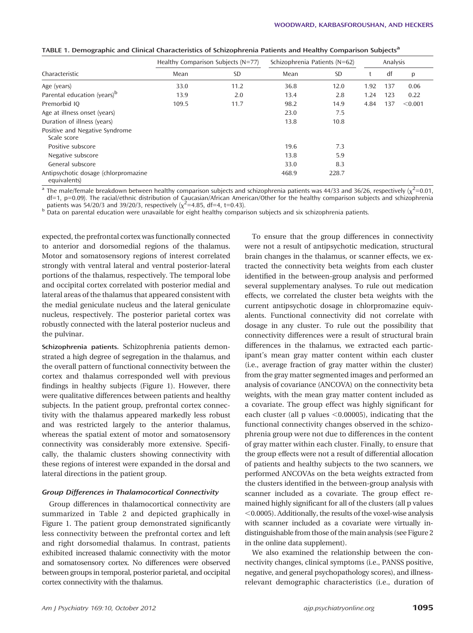|                                                      | Healthy Comparison Subjects (N=77) |           | Schizophrenia Patients (N=62) |           | Analysis |     |         |
|------------------------------------------------------|------------------------------------|-----------|-------------------------------|-----------|----------|-----|---------|
| Characteristic                                       | Mean                               | <b>SD</b> | Mean                          | <b>SD</b> |          | df  | p       |
| Age (years)                                          | 33.0                               | 11.2      | 36.8                          | 12.0      | 1.92     | 137 | 0.06    |
| Parental education (years) <sup>b</sup>              | 13.9                               | 2.0       | 13.4                          | 2.8       | 1.24     | 123 | 0.22    |
| Premorbid IO                                         | 109.5                              | 11.7      | 98.2                          | 14.9      | 4.84     | 137 | < 0.001 |
| Age at illness onset (years)                         |                                    |           | 23.0                          | 7.5       |          |     |         |
| Duration of illness (years)                          |                                    |           | 13.8                          | 10.8      |          |     |         |
| Positive and Negative Syndrome<br>Scale score        |                                    |           |                               |           |          |     |         |
| Positive subscore                                    |                                    |           | 19.6                          | 7.3       |          |     |         |
| Negative subscore                                    |                                    |           | 13.8                          | 5.9       |          |     |         |
| General subscore                                     |                                    |           | 33.0                          | 8.3       |          |     |         |
| Antipsychotic dosage (chlorpromazine<br>equivalents) |                                    |           | 468.9                         | 228.7     |          |     |         |

| TABLE 1. Demographic and Clinical Characteristics of Schizophrenia Patients and Healthy Comparison Subjects <sup>a</sup> |  |  |
|--------------------------------------------------------------------------------------------------------------------------|--|--|
|--------------------------------------------------------------------------------------------------------------------------|--|--|

<sup>a</sup> The male/female breakdown between healthy comparison subjects and schizophrenia patients was 44/33 and 36/26, respectively ( $\chi^2$ =0.01, df=1, p=0.09). The racial/ethnic distribution of Caucasian/African American/Other for the healthy comparison subjects and schizophrenia patients was 54/20/3 and 39/20/3, respectively ( $\chi^2$ =4.85, df=4, t=0.43).

<sup>b</sup> Data on parental education were unavailable for eight healthy comparison subjects and six schizophrenia patients.

expected, the prefrontal cortex was functionally connected to anterior and dorsomedial regions of the thalamus. Motor and somatosensory regions of interest correlated strongly with ventral lateral and ventral posterior-lateral portions of the thalamus, respectively. The temporal lobe and occipital cortex correlated with posterior medial and lateral areas of the thalamus that appeared consistent with the medial geniculate nucleus and the lateral geniculate nucleus, respectively. The posterior parietal cortex was robustly connected with the lateral posterior nucleus and the pulvinar.

Schizophrenia patients. Schizophrenia patients demonstrated a high degree of segregation in the thalamus, and the overall pattern of functional connectivity between the cortex and thalamus corresponded well with previous findings in healthy subjects (Figure 1). However, there were qualitative differences between patients and healthy subjects. In the patient group, prefrontal cortex connectivity with the thalamus appeared markedly less robust and was restricted largely to the anterior thalamus, whereas the spatial extent of motor and somatosensory connectivity was considerably more extensive. Specifically, the thalamic clusters showing connectivity with these regions of interest were expanded in the dorsal and lateral directions in the patient group.

## Group Differences in Thalamocortical Connectivity

Group differences in thalamocortical connectivity are summarized in Table 2 and depicted graphically in Figure 1. The patient group demonstrated significantly less connectivity between the prefrontal cortex and left and right dorsomedial thalamus. In contrast, patients exhibited increased thalamic connectivity with the motor and somatosensory cortex. No differences were observed between groups in temporal, posterior parietal, and occipital cortex connectivity with the thalamus.

To ensure that the group differences in connectivity were not a result of antipsychotic medication, structural brain changes in the thalamus, or scanner effects, we extracted the connectivity beta weights from each cluster identified in the between-group analysis and performed several supplementary analyses. To rule out medication effects, we correlated the cluster beta weights with the current antipsychotic dosage in chlorpromazine equivalents. Functional connectivity did not correlate with dosage in any cluster. To rule out the possibility that connectivity differences were a result of structural brain differences in the thalamus, we extracted each participant's mean gray matter content within each cluster (i.e., average fraction of gray matter within the cluster) from the gray matter segmented images and performed an analysis of covariance (ANCOVA) on the connectivity beta weights, with the mean gray matter content included as a covariate. The group effect was highly significant for each cluster (all  $p$  values  $\leq 0.00005$ ), indicating that the functional connectivity changes observed in the schizophrenia group were not due to differences in the content of gray matter within each cluster. Finally, to ensure that the group effects were not a result of differential allocation of patients and healthy subjects to the two scanners, we performed ANCOVAs on the beta weights extracted from the clusters identified in the between-group analysis with scanner included as a covariate. The group effect remained highly significant for all of the clusters (all p values ,0.0005). Additionally, the results of the voxel-wise analysis with scanner included as a covariate were virtually indistinguishable from those of the main analysis (see Figure 2 in the online data supplement).

We also examined the relationship between the connectivity changes, clinical symptoms (i.e., PANSS positive, negative, and general psychopathology scores), and illnessrelevant demographic characteristics (i.e., duration of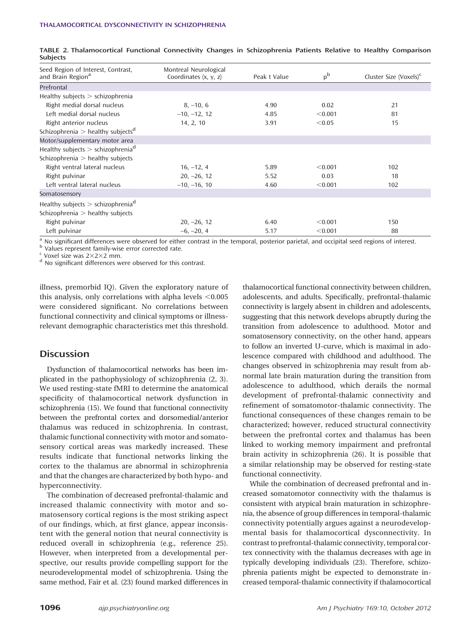| Seed Region of Interest, Contrast,<br>and Brain Region <sup>a</sup> | Montreal Neurological<br>Coordinates $(x, y, z)$ | Peak t Value | $p^b$   | Cluster Size (Voxels) <sup>c</sup> |
|---------------------------------------------------------------------|--------------------------------------------------|--------------|---------|------------------------------------|
| Prefrontal                                                          |                                                  |              |         |                                    |
| Healthy subjects $>$ schizophrenia                                  |                                                  |              |         |                                    |
| Right medial dorsal nucleus                                         | $8, -10, 6$                                      | 4.90         | 0.02    | 21                                 |
| Left medial dorsal nucleus                                          | $-10, -12, 12$                                   | 4.85         | < 0.001 | 81                                 |
| Right anterior nucleus                                              | 14, 2, 10                                        | 3.91         | < 0.05  | 15                                 |
| Schizophrenia $>$ healthy subjects <sup>d</sup>                     |                                                  |              |         |                                    |
| Motor/supplementary motor area                                      |                                                  |              |         |                                    |
| Healthy subjects $>$ schizophrenia <sup>d</sup>                     |                                                  |              |         |                                    |
| Schizophrenia $>$ healthy subjects                                  |                                                  |              |         |                                    |
| Right ventral lateral nucleus                                       | $16, -12, 4$                                     | 5.89         | < 0.001 | 102                                |
| Right pulvinar                                                      | $20, -26, 12$                                    | 5.52         | 0.03    | 18                                 |
| Left ventral lateral nucleus                                        | $-10, -16, 10$                                   | 4.60         | < 0.001 | 102                                |
| Somatosensory                                                       |                                                  |              |         |                                    |
| Healthy subjects $>$ schizophrenia <sup>d</sup>                     |                                                  |              |         |                                    |
| Schizophrenia $>$ healthy subjects                                  |                                                  |              |         |                                    |
| Right pulvinar                                                      | $20, -26, 12$                                    | 6.40         | < 0.001 | 150                                |
| Left pulvinar                                                       | $-6, -20, 4$                                     | 5.17         | < 0.001 | 88                                 |

TABLE 2. Thalamocortical Functional Connectivity Changes in Schizophrenia Patients Relative to Healthy Comparison Subjects

<sup>a</sup> No significant differences were observed for either contrast in the temporal, posterior parietal, and occipital seed regions of interest.<br><sup>b</sup> Values represent family-wise error corrected rate.<br><sup>c</sup> Voxel size was 2×2×2

illness, premorbid IQ). Given the exploratory nature of this analysis, only correlations with alpha levels  $< 0.005$ were considered significant. No correlations between functional connectivity and clinical symptoms or illnessrelevant demographic characteristics met this threshold.

# **Discussion**

Dysfunction of thalamocortical networks has been implicated in the pathophysiology of schizophrenia (2, 3). We used resting-state fMRI to determine the anatomical specificity of thalamocortical network dysfunction in schizophrenia (15). We found that functional connectivity between the prefrontal cortex and dorsomedial/anterior thalamus was reduced in schizophrenia. In contrast, thalamic functional connectivity with motor and somatosensory cortical areas was markedly increased. These results indicate that functional networks linking the cortex to the thalamus are abnormal in schizophrenia and that the changes are characterized by both hypo- and hyperconnectivity.

The combination of decreased prefrontal-thalamic and increased thalamic connectivity with motor and somatosensory cortical regions is the most striking aspect of our findings, which, at first glance, appear inconsistent with the general notion that neural connectivity is reduced overall in schizophrenia (e.g., reference 25). However, when interpreted from a developmental perspective, our results provide compelling support for the neurodevelopmental model of schizophrenia. Using the same method, Fair et al. (23) found marked differences in

thalamocortical functional connectivity between children, adolescents, and adults. Specifically, prefrontal-thalamic connectivity is largely absent in children and adolescents, suggesting that this network develops abruptly during the transition from adolescence to adulthood. Motor and somatosensory connectivity, on the other hand, appears to follow an inverted U-curve, which is maximal in adolescence compared with childhood and adulthood. The changes observed in schizophrenia may result from abnormal late brain maturation during the transition from adolescence to adulthood, which derails the normal development of prefrontal-thalamic connectivity and refinement of somatomotor-thalamic connectivity. The functional consequences of these changes remain to be characterized; however, reduced structural connectivity between the prefrontal cortex and thalamus has been linked to working memory impairment and prefrontal brain activity in schizophrenia (26). It is possible that a similar relationship may be observed for resting-state functional connectivity.

While the combination of decreased prefrontal and increased somatomotor connectivity with the thalamus is consistent with atypical brain maturation in schizophrenia, the absence of group differences in temporal-thalamic connectivity potentially argues against a neurodevelopmental basis for thalamocortical dysconnectivity. In contrast to prefrontal-thalamic connectivity, temporal cortex connectivity with the thalamus decreases with age in typically developing individuals (23). Therefore, schizophrenia patients might be expected to demonstrate increased temporal-thalamic connectivity if thalamocortical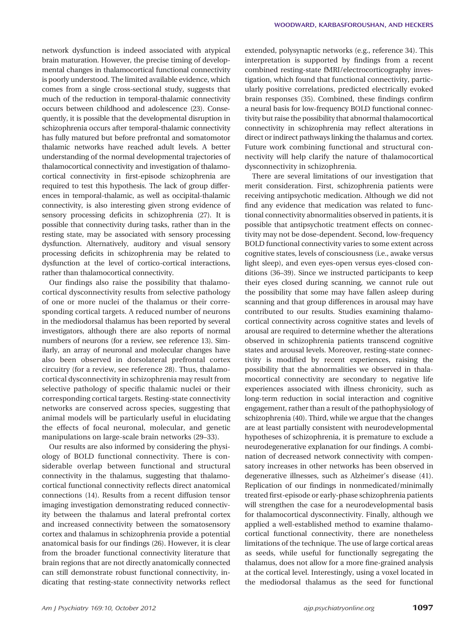network dysfunction is indeed associated with atypical brain maturation. However, the precise timing of developmental changes in thalamocortical functional connectivity is poorly understood. The limited available evidence, which comes from a single cross-sectional study, suggests that much of the reduction in temporal-thalamic connectivity occurs between childhood and adolescence (23). Consequently, it is possible that the developmental disruption in schizophrenia occurs after temporal-thalamic connectivity has fully matured but before prefrontal and somatomotor thalamic networks have reached adult levels. A better understanding of the normal developmental trajectories of thalamocortical connectivity and investigation of thalamocortical connectivity in first-episode schizophrenia are required to test this hypothesis. The lack of group differences in temporal-thalamic, as well as occipital-thalamic connectivity, is also interesting given strong evidence of sensory processing deficits in schizophrenia (27). It is possible that connectivity during tasks, rather than in the resting state, may be associated with sensory processing dysfunction. Alternatively, auditory and visual sensory processing deficits in schizophrenia may be related to dysfunction at the level of cortico-cortical interactions, rather than thalamocortical connectivity.

Our findings also raise the possibility that thalamocortical dysconnectivity results from selective pathology of one or more nuclei of the thalamus or their corresponding cortical targets. A reduced number of neurons in the mediodorsal thalamus has been reported by several investigators, although there are also reports of normal numbers of neurons (for a review, see reference 13). Similarly, an array of neuronal and molecular changes have also been observed in dorsolateral prefrontal cortex circuitry (for a review, see reference 28). Thus, thalamocortical dysconnectivity in schizophrenia may result from selective pathology of specific thalamic nuclei or their corresponding cortical targets. Resting-state connectivity networks are conserved across species, suggesting that animal models will be particularly useful in elucidating the effects of focal neuronal, molecular, and genetic manipulations on large-scale brain networks (29–33).

Our results are also informed by considering the physiology of BOLD functional connectivity. There is considerable overlap between functional and structural connectivity in the thalamus, suggesting that thalamocortical functional connectivity reflects direct anatomical connections (14). Results from a recent diffusion tensor imaging investigation demonstrating reduced connectivity between the thalamus and lateral prefrontal cortex and increased connectivity between the somatosensory cortex and thalamus in schizophrenia provide a potential anatomical basis for our findings (26). However, it is clear from the broader functional connectivity literature that brain regions that are not directly anatomically connected can still demonstrate robust functional connectivity, indicating that resting-state connectivity networks reflect extended, polysynaptic networks (e.g., reference 34). This interpretation is supported by findings from a recent combined resting-state fMRI/electrocorticography investigation, which found that functional connectivity, particularly positive correlations, predicted electrically evoked brain responses (35). Combined, these findings confirm a neural basis for low-frequency BOLD functional connectivity but raise the possibility that abnormal thalamocortical connectivity in schizophrenia may reflect alterations in direct or indirect pathways linking the thalamus and cortex. Future work combining functional and structural connectivity will help clarify the nature of thalamocortical dysconnectivity in schizophrenia.

There are several limitations of our investigation that merit consideration. First, schizophrenia patients were receiving antipsychotic medication. Although we did not find any evidence that medication was related to functional connectivity abnormalities observed in patients, it is possible that antipsychotic treatment effects on connectivity may not be dose-dependent. Second, low-frequency BOLD functional connectivity varies to some extent across cognitive states, levels of consciousness (i.e., awake versus light sleep), and even eyes-open versus eyes-closed conditions (36–39). Since we instructed participants to keep their eyes closed during scanning, we cannot rule out the possibility that some may have fallen asleep during scanning and that group differences in arousal may have contributed to our results. Studies examining thalamocortical connectivity across cognitive states and levels of arousal are required to determine whether the alterations observed in schizophrenia patients transcend cognitive states and arousal levels. Moreover, resting-state connectivity is modified by recent experiences, raising the possibility that the abnormalities we observed in thalamocortical connectivity are secondary to negative life experiences associated with illness chronicity, such as long-term reduction in social interaction and cognitive engagement, rather than a result of the pathophysiology of schizophrenia (40). Third, while we argue that the changes are at least partially consistent with neurodevelopmental hypotheses of schizophrenia, it is premature to exclude a neurodegenerative explanation for our findings. A combination of decreased network connectivity with compensatory increases in other networks has been observed in degenerative illnesses, such as Alzheimer's disease (41). Replication of our findings in nonmedicated/minimally treated first-episode or early-phase schizophrenia patients will strengthen the case for a neurodevelopmental basis for thalamocortical dysconnectivity. Finally, although we applied a well-established method to examine thalamocortical functional connectivity, there are nonetheless limitations of the technique. The use of large cortical areas as seeds, while useful for functionally segregating the thalamus, does not allow for a more fine-grained analysis at the cortical level. Interestingly, using a voxel located in the mediodorsal thalamus as the seed for functional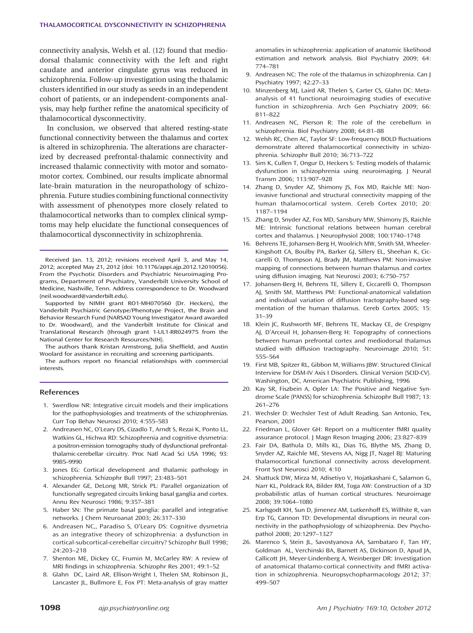connectivity analysis, Welsh et al. (12) found that mediodorsal thalamic connectivity with the left and right caudate and anterior cingulate gyrus was reduced in schizophrenia. Follow-up investigation using the thalamic clusters identified in our study as seeds in an independent cohort of patients, or an independent-components analysis, may help further refine the anatomical specificity of thalamocortical dysconnectivity.

In conclusion, we observed that altered resting-state functional connectivity between the thalamus and cortex is altered in schizophrenia. The alterations are characterized by decreased prefrontal-thalamic connectivity and increased thalamic connectivity with motor and somatomotor cortex. Combined, our results implicate abnormal late-brain maturation in the neuropathology of schizophrenia. Future studies combining functional connectivity with assessment of phenotypes more closely related to thalamocortical networks than to complex clinical symptoms may help elucidate the functional consequences of thalamocortical dysconnectivity in schizophrenia.

Received Jan. 13, 2012; revisions received April 3, and May 14, 2012; accepted May 21, 2012 (doi: 10.1176/appi.ajp.2012.12010056). From the Psychotic Disorders and Psychiatric Neuroimaging Programs, Department of Psychiatry, Vanderbilt University School of Medicine, Nashville, Tenn. Address correspondence to Dr. Woodward [\(neil.woodward@vanderbilt.edu\)](mailto:neil.woodward@vanderbilt.edu).

Supported by NIMH grant RO1-MH070560 (Dr. Heckers), the Vanderbilt Psychiatric Genotype/Phenotype Project, the Brain and Behavior Research Fund (NARSAD Young Investigator Award awarded to Dr. Woodward), and the Vanderbilt Institute for Clinical and Translational Research (through grant 1-UL1-RR024975 from the National Center for Research Resources/NIH).

The authors thank Kristan Armstrong, Julia Sheffield, and Austin Woolard for assistance in recruiting and screening participants.

The authors report no financial relationships with commercial interests.

#### References

- 1. Swerdlow NR: Integrative circuit models and their implications for the pathophysiologies and treatments of the schizophrenias. Curr Top Behav Neurosci 2010; 4:555–583
- 2. Andreasen NC, O'Leary DS, Cizadlo T, Arndt S, Rezai K, Ponto LL, Watkins GL, Hichwa RD: Schizophrenia and cognitive dysmetria: a positron-emission tomography study of dysfunctional prefrontalthalamic-cerebellar circuitry. Proc Natl Acad Sci USA 1996; 93: 9985–9990
- 3. Jones EG: Cortical development and thalamic pathology in schizophrenia. Schizophr Bull 1997; 23:483–501
- 4. Alexander GE, DeLong MR, Strick PL: Parallel organization of functionally segregated circuits linking basal ganglia and cortex. Annu Rev Neurosci 1986; 9:357–381
- 5. Haber SN: The primate basal ganglia: parallel and integrative networks. J Chem Neuroanat 2003; 26:317–330
- 6. Andreasen NC,, Paradiso S, O'Leary DS: Cognitive dysmetria as an integrative theory of schizophrenia: a dysfunction in cortical-subcortical-cerebellar circuitry? Schizophr Bull 1998; 24:203–218
- 7. Shenton ME, Dickey CC, Frumin M, McCarley RW: A review of MRI findings in schizophrenia. Schizophr Res 2001; 49:1–52
- 8. Glahn DC, Laird AR, Ellison-Wright I, Thelen SM, Robinson JL, Lancaster JL, Bullmore E, Fox PT: Meta-analysis of gray matter

anomalies in schizophrenia: application of anatomic likelihood estimation and network analysis. Biol Psychiatry 2009; 64: 774–781

- 9. Andreasen NC: The role of the thalamus in schizophrenia. Can J Psychiatry 1997; 42:27–33
- 10. Minzenberg MJ, Laird AR, Thelen S, Carter CS, Glahn DC: Metaanalysis of 41 functional neuroimaging studies of executive function in schizophrenia. Arch Gen Psychiatry 2009; 66: 811–822
- 11. Andreasen NC, Pierson R: The role of the cerebellum in schizophrenia. Biol Psychiatry 2008; 64:81–88
- 12. Welsh RC, Chen AC, Taylor SF: Low-frequency BOLD fluctuations demonstrate altered thalamocortical connectivity in schizophrenia. Schizophr Bull 2010; 36:713–722
- 13. Sim K, Cullen T, Ongur D, Heckers S: Testing models of thalamic dysfunction in schizophrenia using neuroimaging. J Neural Transm 2006; 113:907–928
- 14. Zhang D, Snyder AZ, Shimony JS, Fox MD, Raichle ME: Noninvasive functional and structural connectivity mapping of the human thalamocortical system. Cereb Cortex 2010; 20: 1187–1194
- 15. Zhang D, Snyder AZ, Fox MD, Sansbury MW, Shimony JS, Raichle ME: Intrinsic functional relations between human cerebral cortex and thalamus. J Neurophysiol 2008; 100:1740–1748
- 16. Behrens TE, Johansen-Berg H, Woolrich MW, Smith SM, Wheeler-Kingshott CA, Boulby PA, Barker GJ, Sillery EL, Sheehan K, Ciccarelli O, Thompson AJ, Brady JM, Matthews PM: Non-invasive mapping of connections between human thalamus and cortex using diffusion imaging. Nat Neurosci 2003; 6:750–757
- 17. Johansen-Berg H, Behrens TE, Sillery E, Ciccarelli O, Thompson AJ, Smith SM, Matthews PM: Functional-anatomical validation and individual variation of diffusion tractography-based segmentation of the human thalamus. Cereb Cortex 2005; 15: 31–39
- 18. Klein JC, Rushworth MF, Behrens TE, Mackay CE, de Crespigny AJ, D'Arceuil H, Johansen-Berg H: Topography of connections between human prefrontal cortex and mediodorsal thalamus studied with diffusion tractography. Neuroimage 2010; 51: 555–564
- 19. First MB, Spitzer RL, Gibbon M, Williams JBW: Structured Clinical Interview for DSM-IV Axis I Disorders. Clinical Version (SCID-CV). Washington, DC, American Psychiatric Publishing, 1996
- 20. Kay SR, Fiszbein A, Opler LA: The Positive and Negative Syndrome Scale (PANSS) for schizophrenia. Schizophr Bull 1987; 13: 261–276
- 21. Wechsler D: Wechsler Test of Adult Reading. San Antonio, Tex, Pearson, 2001
- 22. Friedman L, Glover GH: Report on a multicenter fMRI quality assurance protocol. J Magn Reson Imaging 2006; 23:827–839
- 23. Fair DA, Bathula D, Mills KL, Dias TG, Blythe MS, Zhang D, Snyder AZ, Raichle ME, Stevens AA, Nigg JT, Nagel BJ: Maturing thalamocortical functional connectivity across development. Front Syst Neurosci 2010; 4:10
- 24. Shattuck DW, Mirza M, Adisetiyo V, Hojatkashani C, Salamon G, Narr KL, Poldrack RA, Bilder RM, Toga AW: Construction of a 3D probabilistic atlas of human cortical structures. Neuroimage 2008; 39:1064–1080
- 25. Karlsgodt KH, Sun D, Jimenez AM, Lutkenhoff ES, Willhite R, van Erp TG, Cannon TD: Developmental disruptions in neural connectivity in the pathophysiology of schizophrenia. Dev Psychopathol 2008; 20:1297–1327
- 26. Marenco S, Stein JL, Savostyanova AA, Sambataro F, Tan HY, Goldman AL, Verchinski BA, Barnett AS, Dickinson D, Apud JA, Callicott JH, Meyer-Lindenberg A, Weinberger DR: Investigation of anatomical thalamo-cortical connectivity and fMRI activation in schizophrenia. Neuropsychopharmacology 2012; 37: 499–507